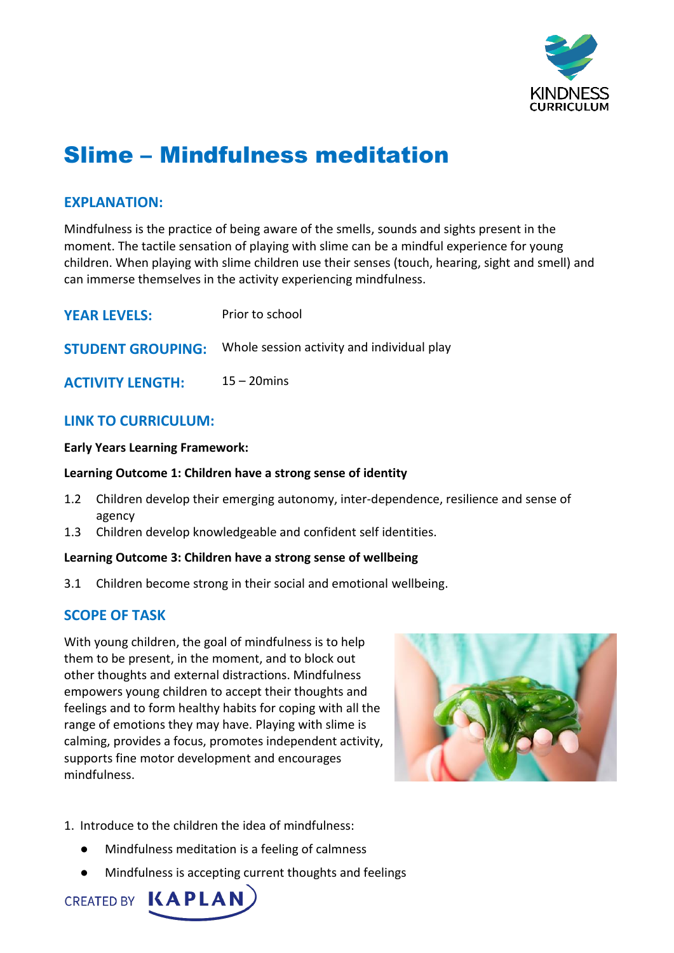

# Slime – Mindfulness meditation

# **EXPLANATION:**

Mindfulness is the practice of being aware of the smells, sounds and sights present in the moment. The tactile sensation of playing with slime can be a mindful experience for young children. When playing with slime children use their senses (touch, hearing, sight and smell) and can immerse themselves in the activity experiencing mindfulness.

| <b>YEAR LEVELS:</b>      | Prior to school                            |
|--------------------------|--------------------------------------------|
| <b>STUDENT GROUPING:</b> | Whole session activity and individual play |
| <b>ACTIVITY LENGTH:</b>  | $15 - 20$ mins                             |

# **LINK TO CURRICULUM:**

### **Early Years Learning Framework:**

### **Learning Outcome 1: Children have a strong sense of identity**

- 1.2 Children develop their emerging autonomy, inter-dependence, resilience and sense of agency
- 1.3 Children develop knowledgeable and confident self identities.

### **Learning Outcome 3: Children have a strong sense of wellbeing**

3.1 Children become strong in their social and emotional wellbeing.

# **SCOPE OF TASK**

With young children, the goal of mindfulness is to help them to be present, in the moment, and to block out other thoughts and external distractions. Mindfulness empowers young children to accept their thoughts and feelings and to form healthy habits for coping with all the range of emotions they may have. Playing with slime is calming, provides a focus, promotes independent activity, supports fine motor development and encourages mindfulness.



- 1. Introduce to the children the idea of mindfulness:
	- Mindfulness meditation is a feeling of calmness
	- Mindfulness is accepting current thoughts and feelings

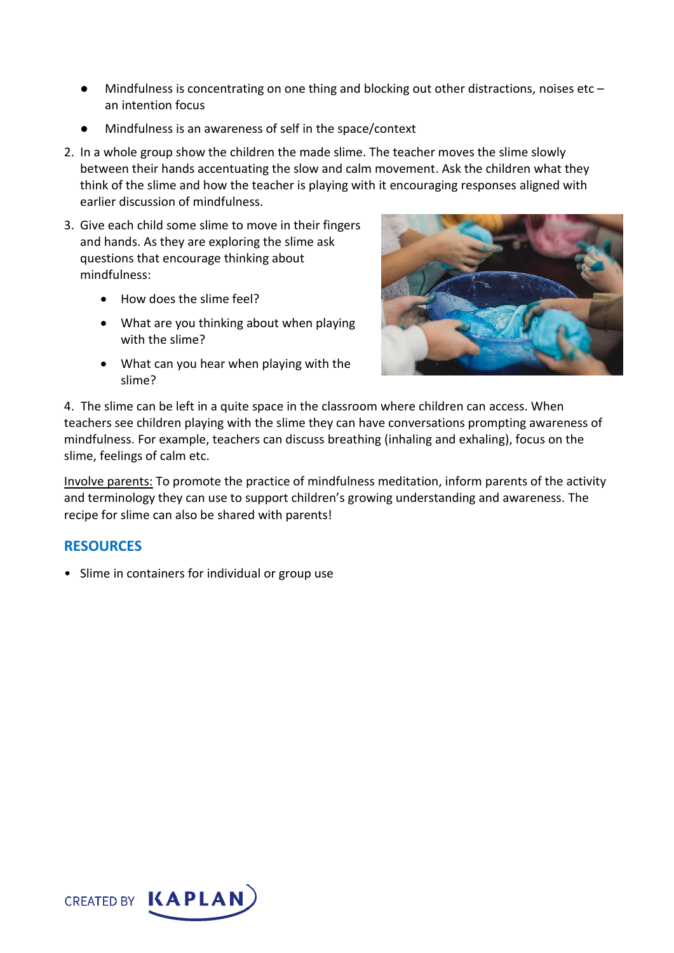- $\bullet$  Mindfulness is concentrating on one thing and blocking out other distractions, noises etc an intention focus
- Mindfulness is an awareness of self in the space/context
- 2. In a whole group show the children the made slime. The teacher moves the slime slowly between their hands accentuating the slow and calm movement. Ask the children what they think of the slime and how the teacher is playing with it encouraging responses aligned with earlier discussion of mindfulness.
- 3. Give each child some slime to move in their fingers and hands. As they are exploring the slime ask questions that encourage thinking about mindfulness:
	- How does the slime feel?
	- What are you thinking about when playing with the slime?
	- What can you hear when playing with the slime?



4. The slime can be left in a quite space in the classroom where children can access. When teachers see children playing with the slime they can have conversations prompting awareness of mindfulness. For example, teachers can discuss breathing (inhaling and exhaling), focus on the slime, feelings of calm etc.

Involve parents: To promote the practice of mindfulness meditation, inform parents of the activity and terminology they can use to support children's growing understanding and awareness. The recipe for slime can also be shared with parents!

## **RESOURCES**

• Slime in containers for individual or group use